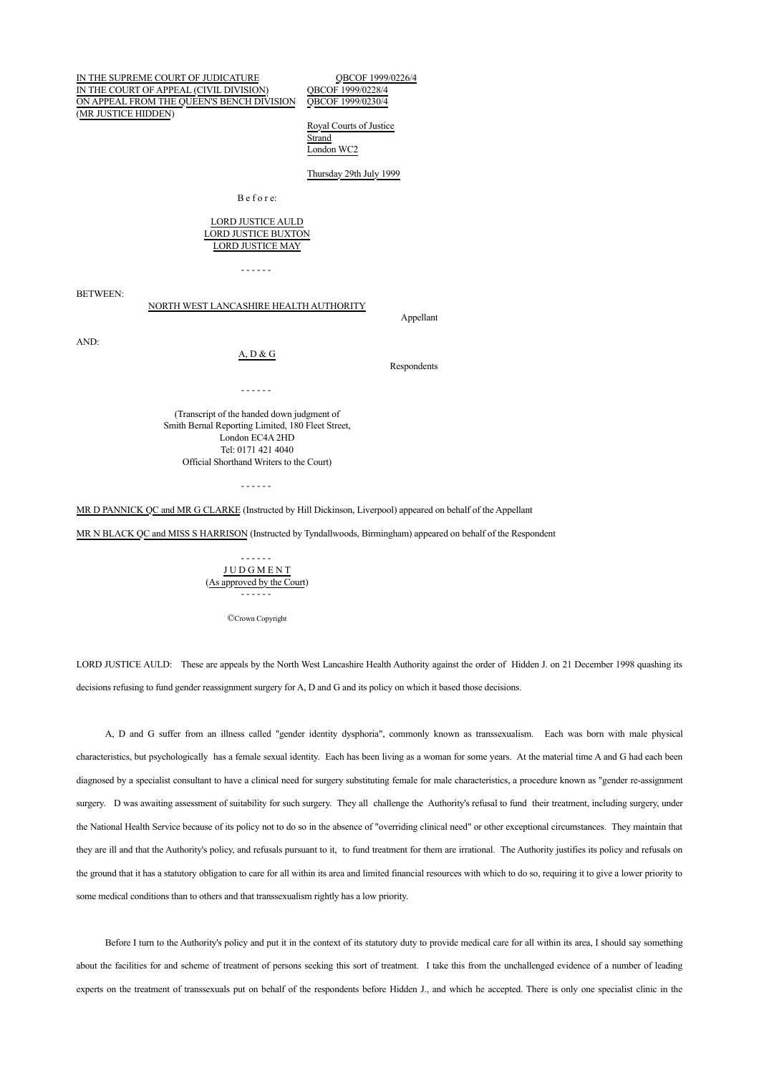IN THE SUPREME COURT OF JUDICATURE <br>IN THE COURT OF APPEAL (CIVIL DIVISION) QBCOF 1999/0228/4 IN THE COURT OF APPEAL (CIVIL DIVISION) QBCOF 1999/0228/4<br>ON APPEAL FROM THE QUEEN'S BENCH DIVISION QBCOF 1999/0230/4 ON APPEAL FROM THE QUEEN'S BENCH DIVISION (MR JUSTICE HIDDEN)

# Royal Courts of Justice **Strand**

London WC2

Thursday 29th July 1999

Before:

# LORD JUSTICE AULD LORD JUSTICE BUXTON LORD JUSTICE MAY

- - - - - -

BETWEEN:

## NORTH WEST LANCASHIRE HEALTH AUTHORITY

AND:

A, D & G

Respondents

Appellant

(Transcript of the handed down judgment of Smith Bernal Reporting Limited, 180 Fleet Street,

- - - - - -

 London EC4A 2HD Tel: 0171 421 4040 Official Shorthand Writers to the Court)

- - - - - -

MR D PANNICK QC and MR G CLARKE (Instructed by Hill Dickinson, Liverpool) appeared on behalf of the Appellant

MR N BLACK QC and MISS S HARRISON (Instructed by Tyndallwoods, Birmingham) appeared on behalf of the Respondent

- - - - - - J U D G M E N T (As approved by the Court) - - - - - -

©Crown Copyright

LORD JUSTICE AULD: These are appeals by the North West Lancashire Health Authority against the order of Hidden J. on 21 December 1998 quashing its decisions refusing to fund gender reassignment surgery for A, D and G and its policy on which it based those decisions.

A, D and G suffer from an illness called "gender identity dysphoria", commonly known as transsexualism. Each was born with male physical characteristics, but psychologically has a female sexual identity. Each has been living as a woman for some years. At the material time A and G had each been diagnosed by a specialist consultant to have a clinical need for surgery substituting female for male characteristics, a procedure known as "gender re-assignment surgery. D was awaiting assessment of suitability for such surgery. They all challenge the Authority's refusal to fund their treatment, including surgery, under the National Health Service because of its policy not to do so in the absence of "overriding clinical need" or other exceptional circumstances. They maintain that they are ill and that the Authority's policy, and refusals pursuant to it, to fund treatment for them are irrational. The Authority justifies its policy and refusals on the ground that it has a statutory obligation to care for all within its area and limited financial resources with which to do so, requiring it to give a lower priority to some medical conditions than to others and that transsexualism rightly has a low priority.

Before I turn to the Authority's policy and put it in the context of its statutory duty to provide medical care for all within its area, I should say something about the facilities for and scheme of treatment of persons seeking this sort of treatment. I take this from the unchallenged evidence of a number of leading experts on the treatment of transsexuals put on behalf of the respondents before Hidden J., and which he accepted. There is only one specialist clinic in the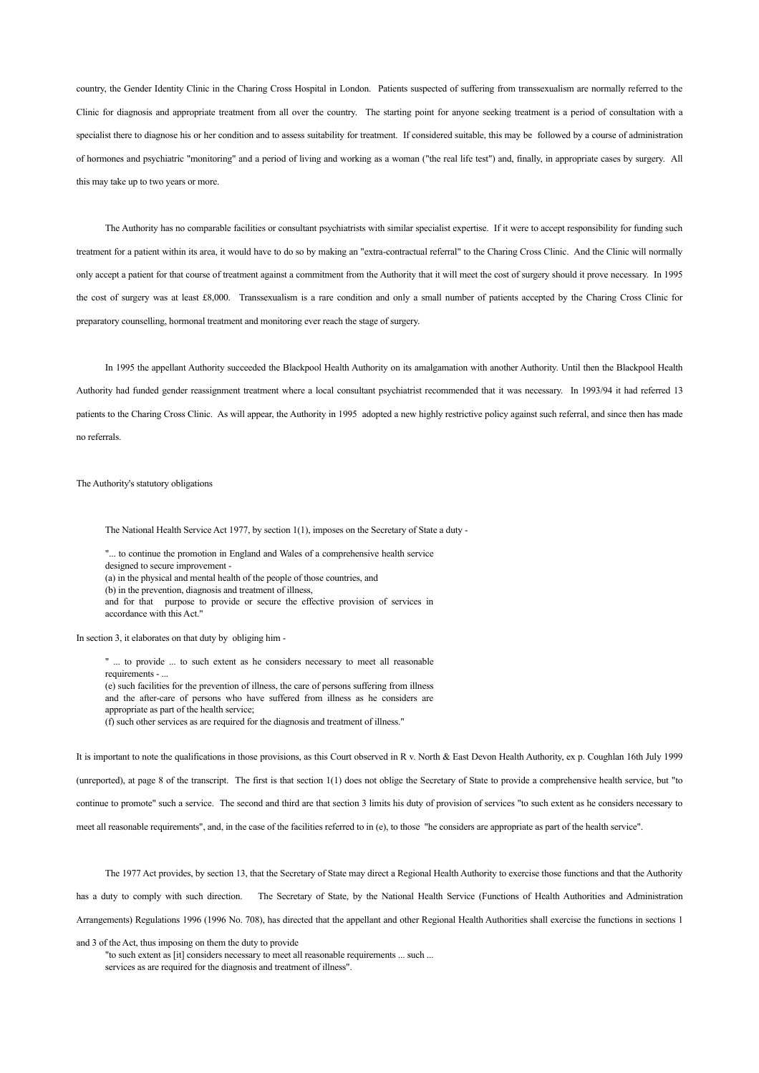country, the Gender Identity Clinic in the Charing Cross Hospital in London. Patients suspected of suffering from transsexualism are normally referred to the Clinic for diagnosis and appropriate treatment from all over the country. The starting point for anyone seeking treatment is a period of consultation with a specialist there to diagnose his or her condition and to assess suitability for treatment. If considered suitable, this may be followed by a course of administration of hormones and psychiatric "monitoring" and a period of living and working as a woman ("the real life test") and, finally, in appropriate cases by surgery. All this may take up to two years or more.

The Authority has no comparable facilities or consultant psychiatrists with similar specialist expertise. If it were to accept responsibility for funding such treatment for a patient within its area, it would have to do so by making an "extra-contractual referral" to the Charing Cross Clinic. And the Clinic will normally only accept a patient for that course of treatment against a commitment from the Authority that it will meet the cost of surgery should it prove necessary. In 1995 the cost of surgery was at least £8,000. Transsexualism is a rare condition and only a small number of patients accepted by the Charing Cross Clinic for preparatory counselling, hormonal treatment and monitoring ever reach the stage of surgery.

In 1995 the appellant Authority succeeded the Blackpool Health Authority on its amalgamation with another Authority. Until then the Blackpool Health Authority had funded gender reassignment treatment where a local consultant psychiatrist recommended that it was necessary. In 1993/94 it had referred 13 patients to the Charing Cross Clinic. As will appear, the Authority in 1995 adopted a new highly restrictive policy against such referral, and since then has made no referrals.

The Authority's statutory obligations

The National Health Service Act 1977, by section 1(1), imposes on the Secretary of State a duty -

"... to continue the promotion in England and Wales of a comprehensive health service designed to secure improvement - (a) in the physical and mental health of the people of those countries, and (b) in the prevention, diagnosis and treatment of illness, and for that purpose to provide or secure the effective provision of services in accordance with this Act."

In section 3, it elaborates on that duty by obliging him -

" ... to provide ... to such extent as he considers necessary to meet all reasonable requirements - ... (e) such facilities for the prevention of illness, the care of persons suffering from illness and the after-care of persons who have suffered from illness as he considers are appropriate as part of the health service; (f) such other services as are required for the diagnosis and treatment of illness."

It is important to note the qualifications in those provisions, as this Court observed in R v. North & East Devon Health Authority, ex p. Coughlan 16th July 1999 (unreported), at page 8 of the transcript. The first is that section 1(1) does not oblige the Secretary of State to provide a comprehensive health service, but "to continue to promote" such a service. The second and third are that section 3 limits his duty of provision of services "to such extent as he considers necessary to meet all reasonable requirements", and, in the case of the facilities referred to in (e), to those "he considers are appropriate as part of the health service".

The 1977 Act provides, by section 13, that the Secretary of State may direct a Regional Health Authority to exercise those functions and that the Authority has a duty to comply with such direction. The Secretary of State, by the National Health Service (Functions of Health Authorities and Administration Arrangements) Regulations 1996 (1996 No. 708), has directed that the appellant and other Regional Health Authorities shall exercise the functions in sections 1

and 3 of the Act, thus imposing on them the duty to provide

"to such extent as [it] considers necessary to meet all reasonable requirements ... such ... services as are required for the diagnosis and treatment of illness".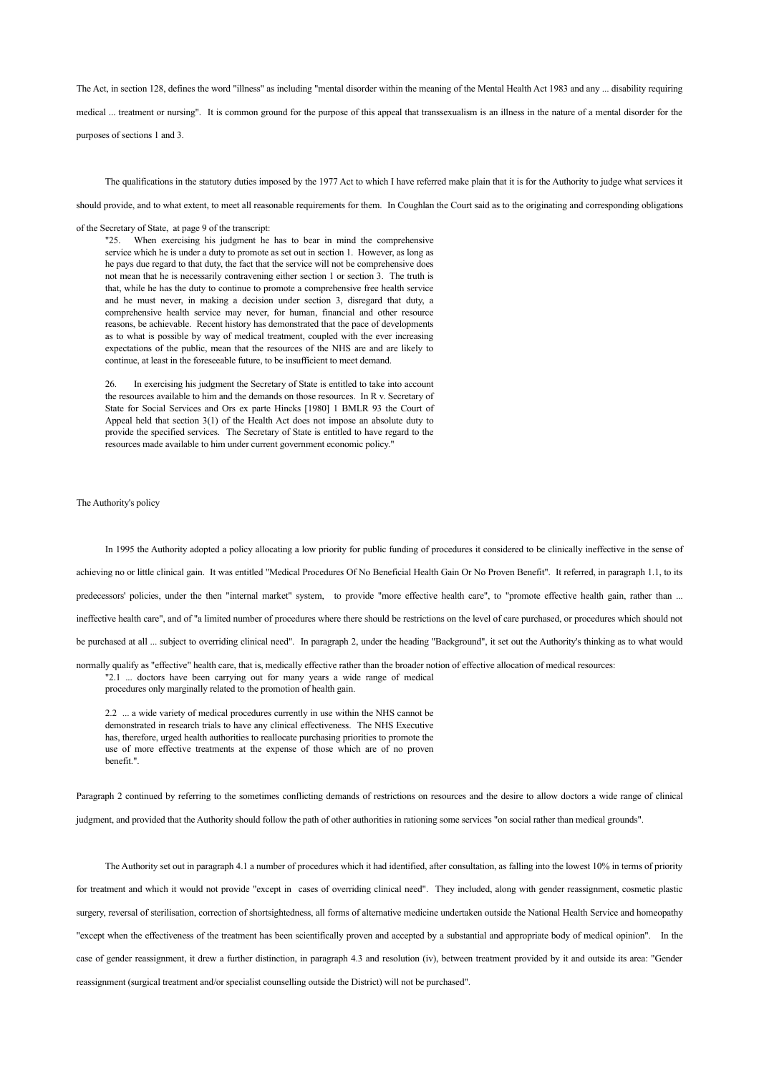The Act, in section 128, defines the word "illness" as including "mental disorder within the meaning of the Mental Health Act 1983 and any ... disability requiring

medical ... treatment or nursing". It is common ground for the purpose of this appeal that transsexualism is an illness in the nature of a mental disorder for the

purposes of sections 1 and 3.

The qualifications in the statutory duties imposed by the 1977 Act to which I have referred make plain that it is for the Authority to judge what services it

should provide, and to what extent, to meet all reasonable requirements for them. In Coughlan the Court said as to the originating and corresponding obligations

## of the Secretary of State, at page 9 of the transcript:

"25. When exercising his judgment he has to bear in mind the comprehensive service which he is under a duty to promote as set out in section 1. However, as long as he pays due regard to that duty, the fact that the service will not be comprehensive does not mean that he is necessarily contravening either section 1 or section 3. The truth is that, while he has the duty to continue to promote a comprehensive free health service and he must never, in making a decision under section 3, disregard that duty, a comprehensive health service may never, for human, financial and other resource reasons, be achievable. Recent history has demonstrated that the pace of developments as to what is possible by way of medical treatment, coupled with the ever increasing expectations of the public, mean that the resources of the NHS are and are likely to continue, at least in the foreseeable future, to be insufficient to meet demand.

26. In exercising his judgment the Secretary of State is entitled to take into account the resources available to him and the demands on those resources. In R v. Secretary of State for Social Services and Ors ex parte Hincks [1980] 1 BMLR 93 the Court of Appeal held that section 3(1) of the Health Act does not impose an absolute duty to provide the specified services. The Secretary of State is entitled to have regard to the resources made available to him under current government economic policy."

#### The Authority's policy

In 1995 the Authority adopted a policy allocating a low priority for public funding of procedures it considered to be clinically ineffective in the sense of achieving no or little clinical gain. It was entitled "Medical Procedures Of No Beneficial Health Gain Or No Proven Benefit". It referred, in paragraph 1.1, to its predecessors' policies, under the then "internal market" system, to provide "more effective health care", to "promote effective health gain, rather than ... ineffective health care", and of "a limited number of procedures where there should be restrictions on the level of care purchased, or procedures which should not be purchased at all ... subject to overriding clinical need". In paragraph 2, under the heading "Background", it set out the Authority's thinking as to what would

normally qualify as "effective" health care, that is, medically effective rather than the broader notion of effective allocation of medical resources: "2.1 ... doctors have been carrying out for many years a wide range of medical procedures only marginally related to the promotion of health gain.

2.2 ... a wide variety of medical procedures currently in use within the NHS cannot be demonstrated in research trials to have any clinical effectiveness. The NHS Executive has, therefore, urged health authorities to reallocate purchasing priorities to promote the use of more effective treatments at the expense of those which are of no proven benefit.".

Paragraph 2 continued by referring to the sometimes conflicting demands of restrictions on resources and the desire to allow doctors a wide range of clinical judgment, and provided that the Authority should follow the path of other authorities in rationing some services "on social rather than medical grounds".

The Authority set out in paragraph 4.1 a number of procedures which it had identified, after consultation, as falling into the lowest 10% in terms of priority for treatment and which it would not provide "except in cases of overriding clinical need". They included, along with gender reassignment, cosmetic plastic surgery, reversal of sterilisation, correction of shortsightedness, all forms of alternative medicine undertaken outside the National Health Service and homeopathy "except when the effectiveness of the treatment has been scientifically proven and accepted by a substantial and appropriate body of medical opinion". In the case of gender reassignment, it drew a further distinction, in paragraph 4.3 and resolution (iv), between treatment provided by it and outside its area: "Gender reassignment (surgical treatment and/or specialist counselling outside the District) will not be purchased".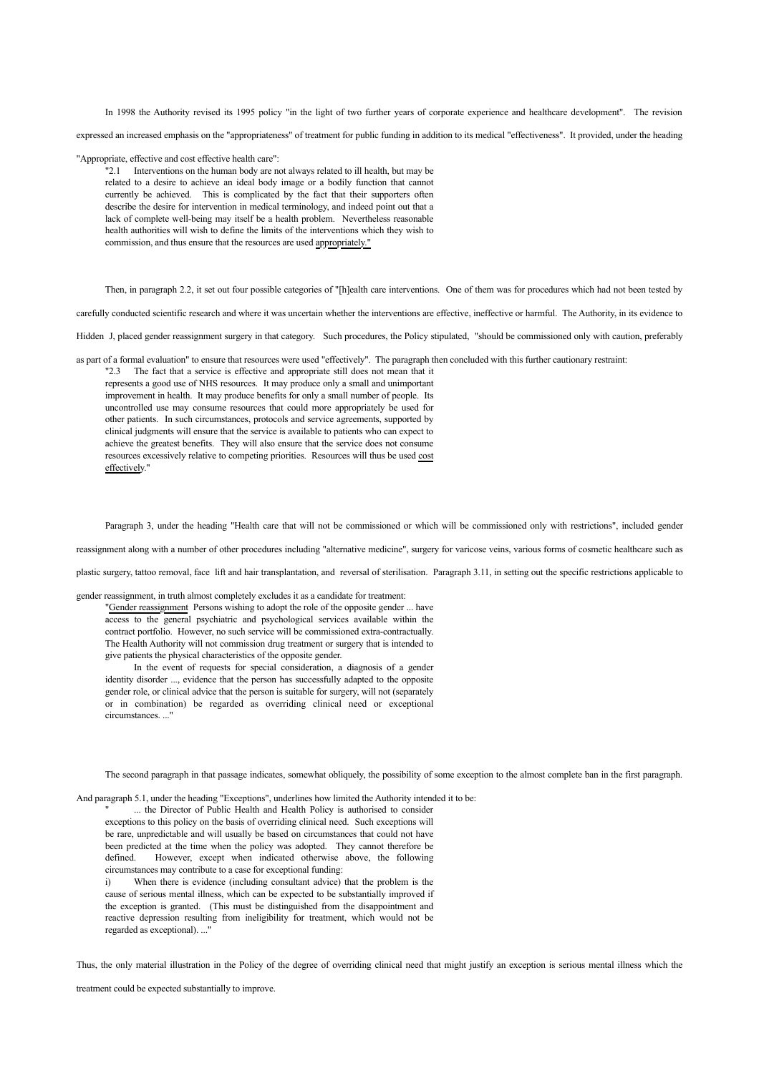In 1998 the Authority revised its 1995 policy "in the light of two further years of corporate experience and healthcare development". The revision

expressed an increased emphasis on the "appropriateness" of treatment for public funding in addition to its medical "effectiveness". It provided, under the heading

"Appropriate, effective and cost effective health care":

"2.1 Interventions on the human body are not always related to ill health, but may be related to a desire to achieve an ideal body image or a bodily function that cannot currently be achieved. This is complicated by the fact that their supporters often describe the desire for intervention in medical terminology, and indeed point out that a lack of complete well-being may itself be a health problem. Nevertheless reasonable health authorities will wish to define the limits of the interventions which they wish to commission, and thus ensure that the resources are used appropriately."

Then, in paragraph 2.2, it set out four possible categories of "[h]ealth care interventions. One of them was for procedures which had not been tested by

carefully conducted scientific research and where it was uncertain whether the interventions are effective, ineffective or harmful. The Authority, in its evidence to

Hidden J, placed gender reassignment surgery in that category. Such procedures, the Policy stipulated, "should be commissioned only with caution, preferably

as part of a formal evaluation" to ensure that resources were used "effectively". The paragraph then concluded with this further cautionary restraint:

"2.3 The fact that a service is effective and appropriate still does not mean that it represents a good use of NHS resources. It may produce only a small and unimportant improvement in health. It may produce benefits for only a small number of people. Its uncontrolled use may consume resources that could more appropriately be used for other patients. In such circumstances, protocols and service agreements, supported by clinical judgments will ensure that the service is available to patients who can expect to achieve the greatest benefits. They will also ensure that the service does not consume resources excessively relative to competing priorities. Resources will thus be used cost effectively."

Paragraph 3, under the heading "Health care that will not be commissioned or which will be commissioned only with restrictions", included gender

reassignment along with a number of other procedures including "alternative medicine", surgery for varicose veins, various forms of cosmetic healthcare such as

plastic surgery, tattoo removal, face lift and hair transplantation, and reversal of sterilisation. Paragraph 3.11, in setting out the specific restrictions applicable to

gender reassignment, in truth almost completely excludes it as a candidate for treatment: "Gender reassignment Persons wishing to adopt the role of the opposite gender ... have access to the general psychiatric and psychological services available within the

contract portfolio. However, no such service will be commissioned extra-contractually. The Health Authority will not commission drug treatment or surgery that is intended to give patients the physical characteristics of the opposite gender.

In the event of requests for special consideration, a diagnosis of a gender identity disorder ..., evidence that the person has successfully adapted to the opposite gender role, or clinical advice that the person is suitable for surgery, will not (separately or in combination) be regarded as overriding clinical need or exceptional circumstances. ..."

The second paragraph in that passage indicates, somewhat obliquely, the possibility of some exception to the almost complete ban in the first paragraph.

And paragraph 5.1, under the heading "Exceptions", underlines how limited the Authority intended it to be:

... the Director of Public Health and Health Policy is authorised to consider exceptions to this policy on the basis of overriding clinical need. Such exceptions will be rare, unpredictable and will usually be based on circumstances that could not have been predicted at the time when the policy was adopted. They cannot therefore be defined. However, except when indicated otherwise above, the following circumstances may contribute to a case for exceptional funding: i) When there is evidence (including consultant advice) that the problem is the cause of serious mental illness, which can be expected to be substantially improved if

the exception is granted. (This must be distinguished from the disappointment and reactive depression resulting from ineligibility for treatment, which would not be regarded as exceptional). ...'

Thus, the only material illustration in the Policy of the degree of overriding clinical need that might justify an exception is serious mental illness which the

treatment could be expected substantially to improve.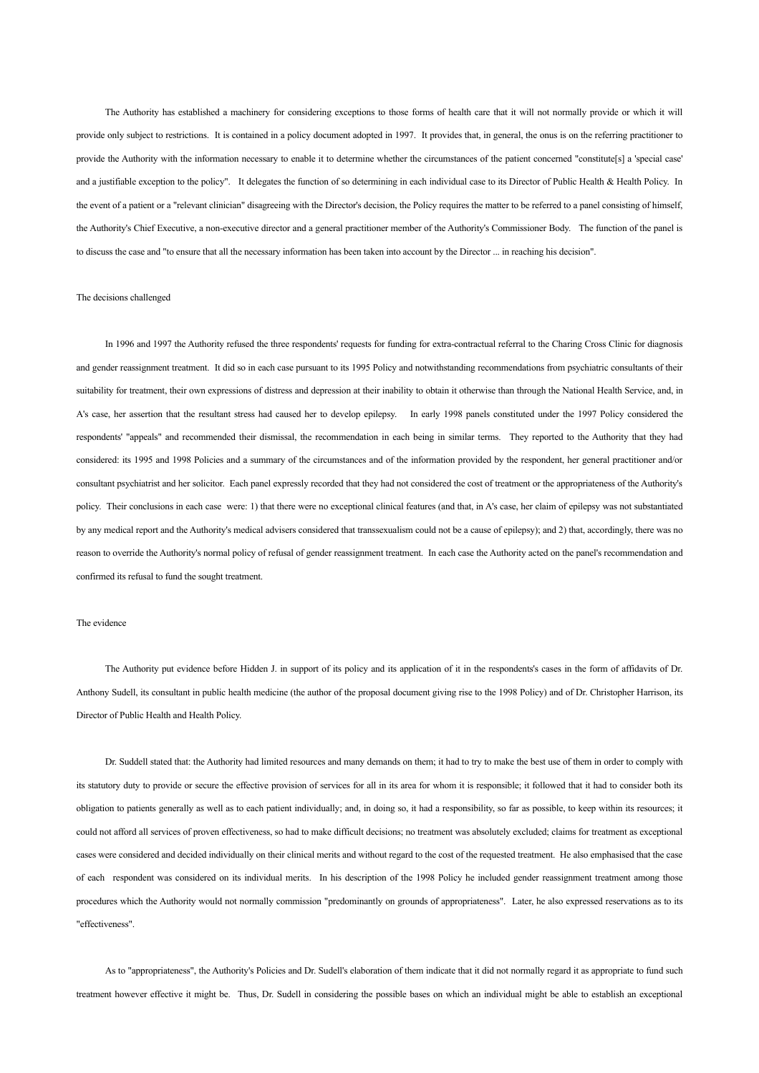The Authority has established a machinery for considering exceptions to those forms of health care that it will not normally provide or which it will provide only subject to restrictions. It is contained in a policy document adopted in 1997. It provides that, in general, the onus is on the referring practitioner to provide the Authority with the information necessary to enable it to determine whether the circumstances of the patient concerned "constitute[s] a 'special case' and a justifiable exception to the policy". It delegates the function of so determining in each individual case to its Director of Public Health & Health Policy. In the event of a patient or a "relevant clinician" disagreeing with the Director's decision, the Policy requires the matter to be referred to a panel consisting of himself, the Authority's Chief Executive, a non-executive director and a general practitioner member of the Authority's Commissioner Body. The function of the panel is to discuss the case and "to ensure that all the necessary information has been taken into account by the Director ... in reaching his decision".

### The decisions challenged

In 1996 and 1997 the Authority refused the three respondents' requests for funding for extra-contractual referral to the Charing Cross Clinic for diagnosis and gender reassignment treatment. It did so in each case pursuant to its 1995 Policy and notwithstanding recommendations from psychiatric consultants of their suitability for treatment, their own expressions of distress and depression at their inability to obtain it otherwise than through the National Health Service, and, in A's case, her assertion that the resultant stress had caused her to develop epilepsy. In early 1998 panels constituted under the 1997 Policy considered the respondents' "appeals" and recommended their dismissal, the recommendation in each being in similar terms. They reported to the Authority that they had considered: its 1995 and 1998 Policies and a summary of the circumstances and of the information provided by the respondent, her general practitioner and/or consultant psychiatrist and her solicitor. Each panel expressly recorded that they had not considered the cost of treatment or the appropriateness of the Authority's policy. Their conclusions in each case were: 1) that there were no exceptional clinical features (and that, in A's case, her claim of epilepsy was not substantiated by any medical report and the Authority's medical advisers considered that transsexualism could not be a cause of epilepsy); and 2) that, accordingly, there was no reason to override the Authority's normal policy of refusal of gender reassignment treatment. In each case the Authority acted on the panel's recommendation and confirmed its refusal to fund the sought treatment.

## The evidence

The Authority put evidence before Hidden J. in support of its policy and its application of it in the respondents's cases in the form of affidavits of Dr. Anthony Sudell, its consultant in public health medicine (the author of the proposal document giving rise to the 1998 Policy) and of Dr. Christopher Harrison, its Director of Public Health and Health Policy.

Dr. Suddell stated that: the Authority had limited resources and many demands on them; it had to try to make the best use of them in order to comply with its statutory duty to provide or secure the effective provision of services for all in its area for whom it is responsible; it followed that it had to consider both its obligation to patients generally as well as to each patient individually; and, in doing so, it had a responsibility, so far as possible, to keep within its resources; it could not afford all services of proven effectiveness, so had to make difficult decisions; no treatment was absolutely excluded; claims for treatment as exceptional cases were considered and decided individually on their clinical merits and without regard to the cost of the requested treatment. He also emphasised that the case of each respondent was considered on its individual merits. In his description of the 1998 Policy he included gender reassignment treatment among those procedures which the Authority would not normally commission "predominantly on grounds of appropriateness". Later, he also expressed reservations as to its "effectiveness".

As to "appropriateness", the Authority's Policies and Dr. Sudell's elaboration of them indicate that it did not normally regard it as appropriate to fund such treatment however effective it might be. Thus, Dr. Sudell in considering the possible bases on which an individual might be able to establish an exceptional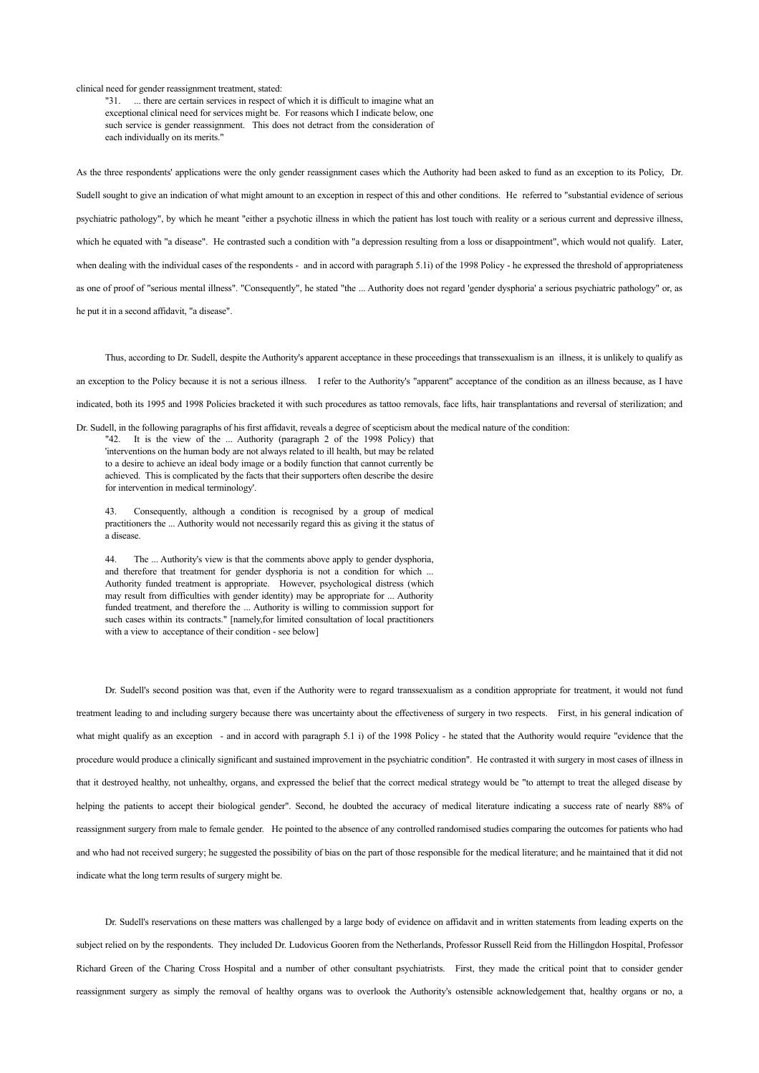#### clinical need for gender reassignment treatment, stated:

"31. ... there are certain services in respect of which it is difficult to imagine what an exceptional clinical need for services might be. For reasons which I indicate below, one such service is gender reassignment. This does not detract from the consideration of each individually on its merits."

As the three respondents' applications were the only gender reassignment cases which the Authority had been asked to fund as an exception to its Policy, Dr. Sudell sought to give an indication of what might amount to an exception in respect of this and other conditions. He referred to "substantial evidence of serious psychiatric pathology", by which he meant "either a psychotic illness in which the patient has lost touch with reality or a serious current and depressive illness, which he equated with "a disease". He contrasted such a condition with "a depression resulting from a loss or disappointment", which would not qualify. Later, when dealing with the individual cases of the respondents - and in accord with paragraph 5.1i) of the 1998 Policy - he expressed the threshold of appropriateness as one of proof of "serious mental illness". "Consequently", he stated "the ... Authority does not regard 'gender dysphoria' a serious psychiatric pathology" or, as he put it in a second affidavit, "a disease".

Thus, according to Dr. Sudell, despite the Authority's apparent acceptance in these proceedings that transsexualism is an illness, it is unlikely to qualify as an exception to the Policy because it is not a serious illness. I refer to the Authority's "apparent" acceptance of the condition as an illness because, as I have indicated, both its 1995 and 1998 Policies bracketed it with such procedures as tattoo removals, face lifts, hair transplantations and reversal of sterilization; and

Dr. Sudell, in the following paragraphs of his first affidavit, reveals a degree of scepticism about the medical nature of the condition: "42. It is the view of the ... Authority (paragraph 2 of the 1998 Policy) that 'interventions on the human body are not always related to ill health, but may be related to a desire to achieve an ideal body image or a bodily function that cannot currently be achieved. This is complicated by the facts that their supporters often describe the desire for intervention in medical terminology'.

43. Consequently, although a condition is recognised by a group of medical practitioners the ... Authority would not necessarily regard this as giving it the status of a disease.

44. The ... Authority's view is that the comments above apply to gender dysphoria, and therefore that treatment for gender dysphoria is not a condition for which ... Authority funded treatment is appropriate. However, psychological distress (which may result from difficulties with gender identity) may be appropriate for ... Authority funded treatment, and therefore the ... Authority is willing to commission support for such cases within its contracts." [namely,for limited consultation of local practitioners with a view to acceptance of their condition - see below]

Dr. Sudell's second position was that, even if the Authority were to regard transsexualism as a condition appropriate for treatment, it would not fund treatment leading to and including surgery because there was uncertainty about the effectiveness of surgery in two respects. First, in his general indication of what might qualify as an exception - and in accord with paragraph 5.1 i) of the 1998 Policy - he stated that the Authority would require "evidence that the procedure would produce a clinically significant and sustained improvement in the psychiatric condition". He contrasted it with surgery in most cases of illness in that it destroyed healthy, not unhealthy, organs, and expressed the belief that the correct medical strategy would be "to attempt to treat the alleged disease by helping the patients to accept their biological gender". Second, he doubted the accuracy of medical literature indicating a success rate of nearly 88% of reassignment surgery from male to female gender. He pointed to the absence of any controlled randomised studies comparing the outcomes for patients who had and who had not received surgery; he suggested the possibility of bias on the part of those responsible for the medical literature; and he maintained that it did not indicate what the long term results of surgery might be.

Dr. Sudell's reservations on these matters was challenged by a large body of evidence on affidavit and in written statements from leading experts on the subject relied on by the respondents. They included Dr. Ludovicus Gooren from the Netherlands, Professor Russell Reid from the Hillingdon Hospital, Professor Richard Green of the Charing Cross Hospital and a number of other consultant psychiatrists. First, they made the critical point that to consider gender reassignment surgery as simply the removal of healthy organs was to overlook the Authority's ostensible acknowledgement that, healthy organs or no, a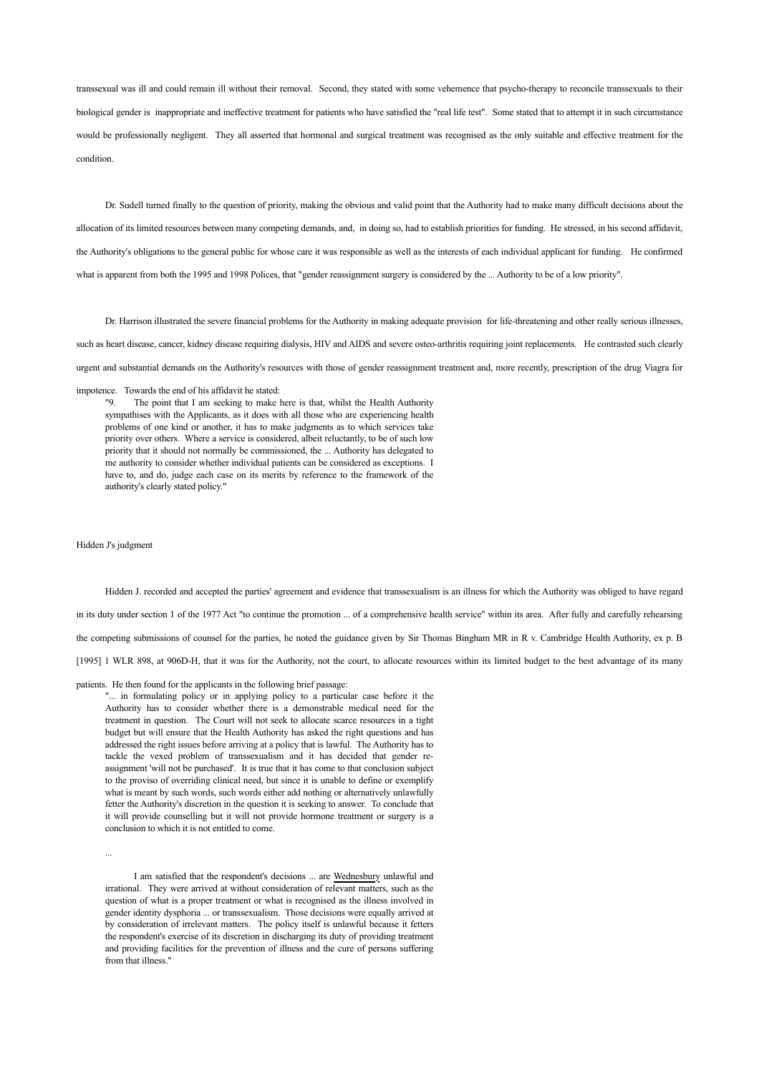transsexual was ill and could remain ill without their removal. Second, they stated with some vehemence that psycho-therapy to reconcile transsexuals to their biological gender is inappropriate and ineffective treatment for patients who have satisfied the "real life test". Some stated that to attempt it in such circumstance would be professionally negligent. They all asserted that hormonal and surgical treatment was recognised as the only suitable and effective treatment for the condition.

Dr. Sudell turned finally to the question of priority, making the obvious and valid point that the Authority had to make many difficult decisions about the allocation of its limited resources between many competing demands, and, in doing so, had to establish priorities for funding. He stressed, in his second affidavit, the Authority's obligations to the general public for whose care it was responsible as well as the interests of each individual applicant for funding. He confirmed what is apparent from both the 1995 and 1998 Polices, that "gender reassignment surgery is considered by the ... Authority to be of a low priority".

Dr. Harrison illustrated the severe financial problems for the Authority in making adequate provision for life-threatening and other really serious illnesses, such as heart disease, cancer, kidney disease requiring dialysis, HIV and AIDS and severe osteo-arthritis requiring joint replacements. He contrasted such clearly urgent and substantial demands on the Authority's resources with those of gender reassignment treatment and, more recently, prescription of the drug Viagra for

impotence. Towards the end of his affidavit he stated:

The point that I am seeking to make here is that, whilst the Health Authority sympathises with the Applicants, as it does with all those who are experiencing health problems of one kind or another, it has to make judgments as to which services take priority over others. Where a service is considered, albeit reluctantly, to be of such low priority that it should not normally be commissioned, the ... Authority has delegated to me authority to consider whether individual patients can be considered as exceptions. I have to, and do, judge each case on its merits by reference to the framework of the authority's clearly stated policy."

Hidden J's judgment

Hidden J. recorded and accepted the parties' agreement and evidence that transsexualism is an illness for which the Authority was obliged to have regard in its duty under section 1 of the 1977 Act "to continue the promotion ... of a comprehensive health service" within its area. After fully and carefully rehearsing the competing submissions of counsel for the parties, he noted the guidance given by Sir Thomas Bingham MR in R v. Cambridge Health Authority, ex p. B [1995] 1 WLR 898, at 906D-H, that it was for the Authority, not the court, to allocate resources within its limited budget to the best advantage of its many

patients. He then found for the applicants in the following brief passage:

"... in formulating policy or in applying policy to a particular case before it the Authority has to consider whether there is a demonstrable medical need for the treatment in question. The Court will not seek to allocate scarce resources in a tight budget but will ensure that the Health Authority has asked the right questions and has addressed the right issues before arriving at a policy that is lawful. The Authority has to tackle the vexed problem of transsexualism and it has decided that gender reassignment 'will not be purchased'. It is true that it has come to that conclusion subject to the proviso of overriding clinical need, but since it is unable to define or exemplify what is meant by such words, such words either add nothing or alternatively unlawfully fetter the Authority's discretion in the question it is seeking to answer. To conclude that it will provide counselling but it will not provide hormone treatment or surgery is a conclusion to which it is not entitled to come.

...

I am satisfied that the respondent's decisions ... are Wednesbury unlawful and irrational. They were arrived at without consideration of relevant matters, such as the question of what is a proper treatment or what is recognised as the illness involved in gender identity dysphoria ... or transsexualism. Those decisions were equally arrived at by consideration of irrelevant matters. The policy itself is unlawful because it fetters the respondent's exercise of its discretion in discharging its duty of providing treatment and providing facilities for the prevention of illness and the cure of persons suffering from that illness."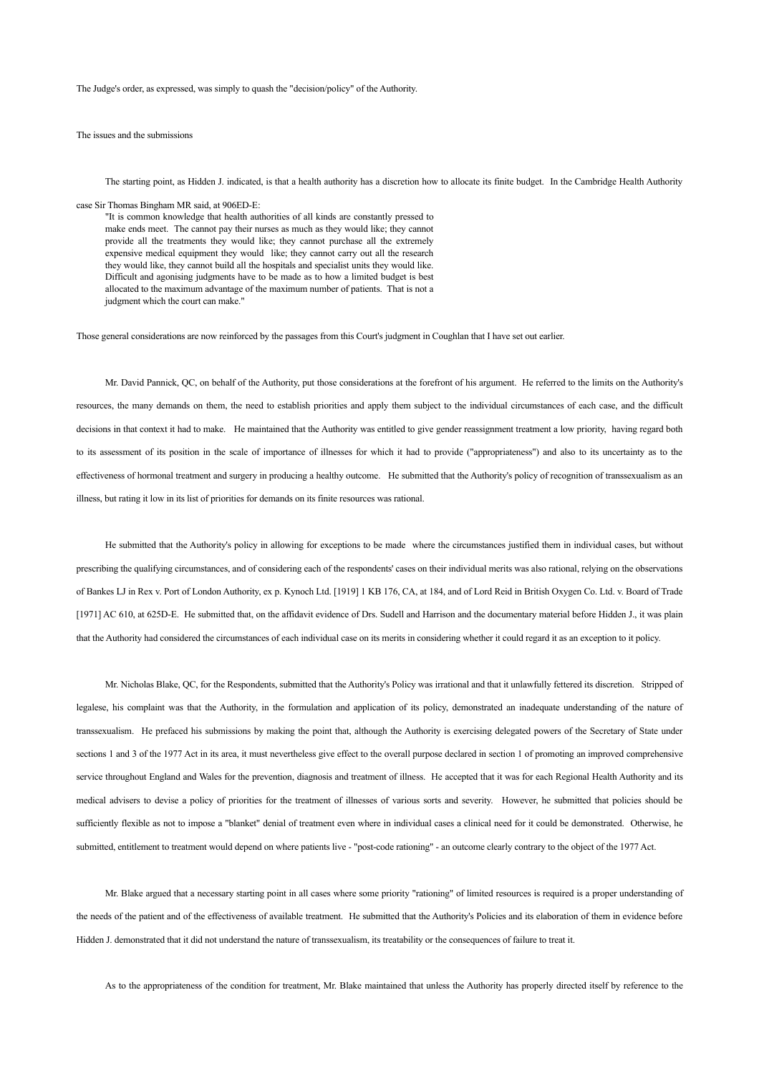The Judge's order, as expressed, was simply to quash the "decision/policy" of the Authority.

The issues and the submissions

The starting point, as Hidden J. indicated, is that a health authority has a discretion how to allocate its finite budget. In the Cambridge Health Authority

case Sir Thomas Bingham MR said, at 906ED-E:

"It is common knowledge that health authorities of all kinds are constantly pressed to make ends meet. The cannot pay their nurses as much as they would like; they cannot provide all the treatments they would like; they cannot purchase all the extremely expensive medical equipment they would like; they cannot carry out all the research they would like, they cannot build all the hospitals and specialist units they would like. Difficult and agonising judgments have to be made as to how a limited budget is best allocated to the maximum advantage of the maximum number of patients. That is not a judgment which the court can make."

Those general considerations are now reinforced by the passages from this Court's judgment in Coughlan that I have set out earlier.

Mr. David Pannick, QC, on behalf of the Authority, put those considerations at the forefront of his argument. He referred to the limits on the Authority's resources, the many demands on them, the need to establish priorities and apply them subject to the individual circumstances of each case, and the difficult decisions in that context it had to make. He maintained that the Authority was entitled to give gender reassignment treatment a low priority, having regard both to its assessment of its position in the scale of importance of illnesses for which it had to provide ("appropriateness") and also to its uncertainty as to the effectiveness of hormonal treatment and surgery in producing a healthy outcome. He submitted that the Authority's policy of recognition of transsexualism as an illness, but rating it low in its list of priorities for demands on its finite resources was rational.

He submitted that the Authority's policy in allowing for exceptions to be made where the circumstances justified them in individual cases, but without prescribing the qualifying circumstances, and of considering each of the respondents' cases on their individual merits was also rational, relying on the observations of Bankes LJ in Rex v. Port of London Authority, ex p. Kynoch Ltd. [1919] 1 KB 176, CA, at 184, and of Lord Reid in British Oxygen Co. Ltd. v. Board of Trade [1971] AC 610, at 625D-E. He submitted that, on the affidavit evidence of Drs. Sudell and Harrison and the documentary material before Hidden J., it was plain that the Authority had considered the circumstances of each individual case on its merits in considering whether it could regard it as an exception to it policy.

Mr. Nicholas Blake, QC, for the Respondents, submitted that the Authority's Policy was irrational and that it unlawfully fettered its discretion. Stripped of legalese, his complaint was that the Authority, in the formulation and application of its policy, demonstrated an inadequate understanding of the nature of transsexualism. He prefaced his submissions by making the point that, although the Authority is exercising delegated powers of the Secretary of State under sections 1 and 3 of the 1977 Act in its area, it must nevertheless give effect to the overall purpose declared in section 1 of promoting an improved comprehensive service throughout England and Wales for the prevention, diagnosis and treatment of illness. He accepted that it was for each Regional Health Authority and its medical advisers to devise a policy of priorities for the treatment of illnesses of various sorts and severity. However, he submitted that policies should be sufficiently flexible as not to impose a "blanket" denial of treatment even where in individual cases a clinical need for it could be demonstrated. Otherwise, he submitted, entitlement to treatment would depend on where patients live - "post-code rationing" - an outcome clearly contrary to the object of the 1977 Act.

Mr. Blake argued that a necessary starting point in all cases where some priority "rationing" of limited resources is required is a proper understanding of the needs of the patient and of the effectiveness of available treatment. He submitted that the Authority's Policies and its elaboration of them in evidence before Hidden J. demonstrated that it did not understand the nature of transsexualism, its treatability or the consequences of failure to treat it.

As to the appropriateness of the condition for treatment, Mr. Blake maintained that unless the Authority has properly directed itself by reference to the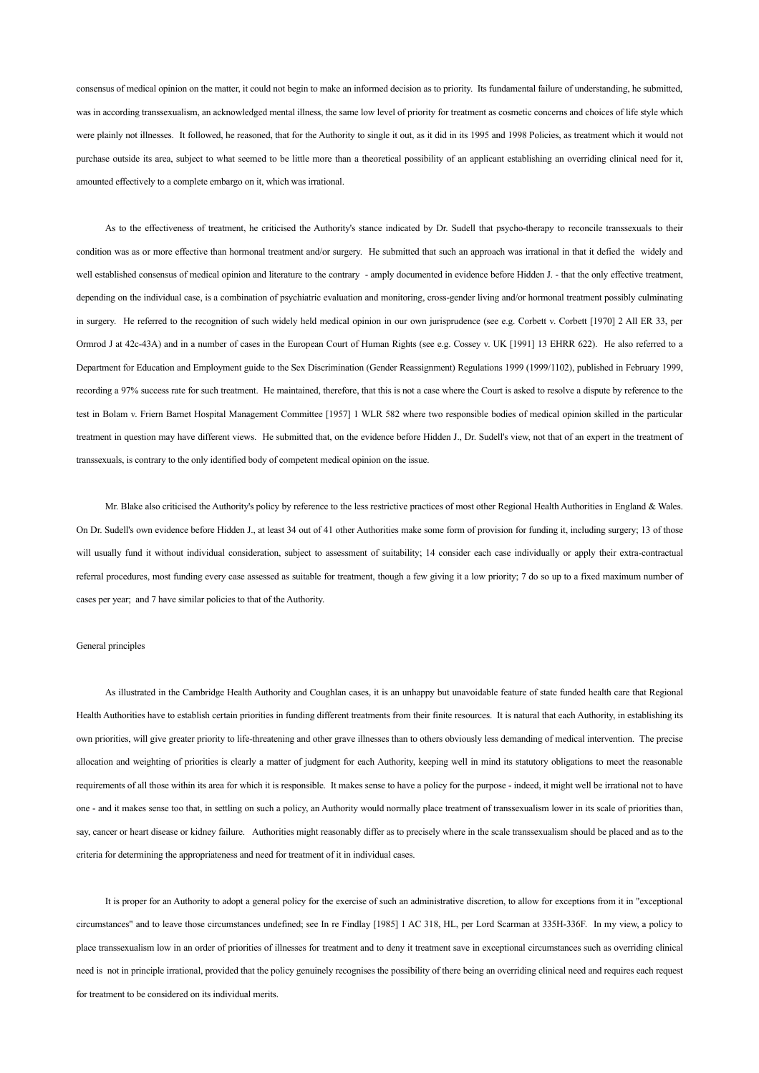consensus of medical opinion on the matter, it could not begin to make an informed decision as to priority. Its fundamental failure of understanding, he submitted, was in according transsexualism, an acknowledged mental illness, the same low level of priority for treatment as cosmetic concerns and choices of life style which were plainly not illnesses. It followed, he reasoned, that for the Authority to single it out, as it did in its 1995 and 1998 Policies, as treatment which it would not purchase outside its area, subject to what seemed to be little more than a theoretical possibility of an applicant establishing an overriding clinical need for it, amounted effectively to a complete embargo on it, which was irrational.

As to the effectiveness of treatment, he criticised the Authority's stance indicated by Dr. Sudell that psycho-therapy to reconcile transsexuals to their condition was as or more effective than hormonal treatment and/or surgery. He submitted that such an approach was irrational in that it defied the widely and well established consensus of medical opinion and literature to the contrary - amply documented in evidence before Hidden J. - that the only effective treatment, depending on the individual case, is a combination of psychiatric evaluation and monitoring, cross-gender living and/or hormonal treatment possibly culminating in surgery. He referred to the recognition of such widely held medical opinion in our own jurisprudence (see e.g. Corbett v. Corbett [1970] 2 All ER 33, per Ormrod J at 42c-43A) and in a number of cases in the European Court of Human Rights (see e.g. Cossey v. UK [1991] 13 EHRR 622). He also referred to a Department for Education and Employment guide to the Sex Discrimination (Gender Reassignment) Regulations 1999 (1999/1102), published in February 1999, recording a 97% success rate for such treatment. He maintained, therefore, that this is not a case where the Court is asked to resolve a dispute by reference to the test in Bolam v. Friern Barnet Hospital Management Committee [1957] 1 WLR 582 where two responsible bodies of medical opinion skilled in the particular treatment in question may have different views. He submitted that, on the evidence before Hidden J., Dr. Sudell's view, not that of an expert in the treatment of transsexuals, is contrary to the only identified body of competent medical opinion on the issue.

Mr. Blake also criticised the Authority's policy by reference to the less restrictive practices of most other Regional Health Authorities in England & Wales. On Dr. Sudell's own evidence before Hidden J., at least 34 out of 41 other Authorities make some form of provision for funding it, including surgery; 13 of those will usually fund it without individual consideration, subject to assessment of suitability; 14 consider each case individually or apply their extra-contractual referral procedures, most funding every case assessed as suitable for treatment, though a few giving it a low priority; 7 do so up to a fixed maximum number of cases per year; and 7 have similar policies to that of the Authority.

#### General principles

As illustrated in the Cambridge Health Authority and Coughlan cases, it is an unhappy but unavoidable feature of state funded health care that Regional Health Authorities have to establish certain priorities in funding different treatments from their finite resources. It is natural that each Authority, in establishing its own priorities, will give greater priority to life-threatening and other grave illnesses than to others obviously less demanding of medical intervention. The precise allocation and weighting of priorities is clearly a matter of judgment for each Authority, keeping well in mind its statutory obligations to meet the reasonable requirements of all those within its area for which it is responsible. It makes sense to have a policy for the purpose - indeed, it might well be irrational not to have one - and it makes sense too that, in settling on such a policy, an Authority would normally place treatment of transsexualism lower in its scale of priorities than, say, cancer or heart disease or kidney failure. Authorities might reasonably differ as to precisely where in the scale transsexualism should be placed and as to the criteria for determining the appropriateness and need for treatment of it in individual cases.

It is proper for an Authority to adopt a general policy for the exercise of such an administrative discretion, to allow for exceptions from it in "exceptional circumstances" and to leave those circumstances undefined; see In re Findlay [1985] 1 AC 318, HL, per Lord Scarman at 335H-336F. In my view, a policy to place transsexualism low in an order of priorities of illnesses for treatment and to deny it treatment save in exceptional circumstances such as overriding clinical need is not in principle irrational, provided that the policy genuinely recognises the possibility of there being an overriding clinical need and requires each request for treatment to be considered on its individual merits.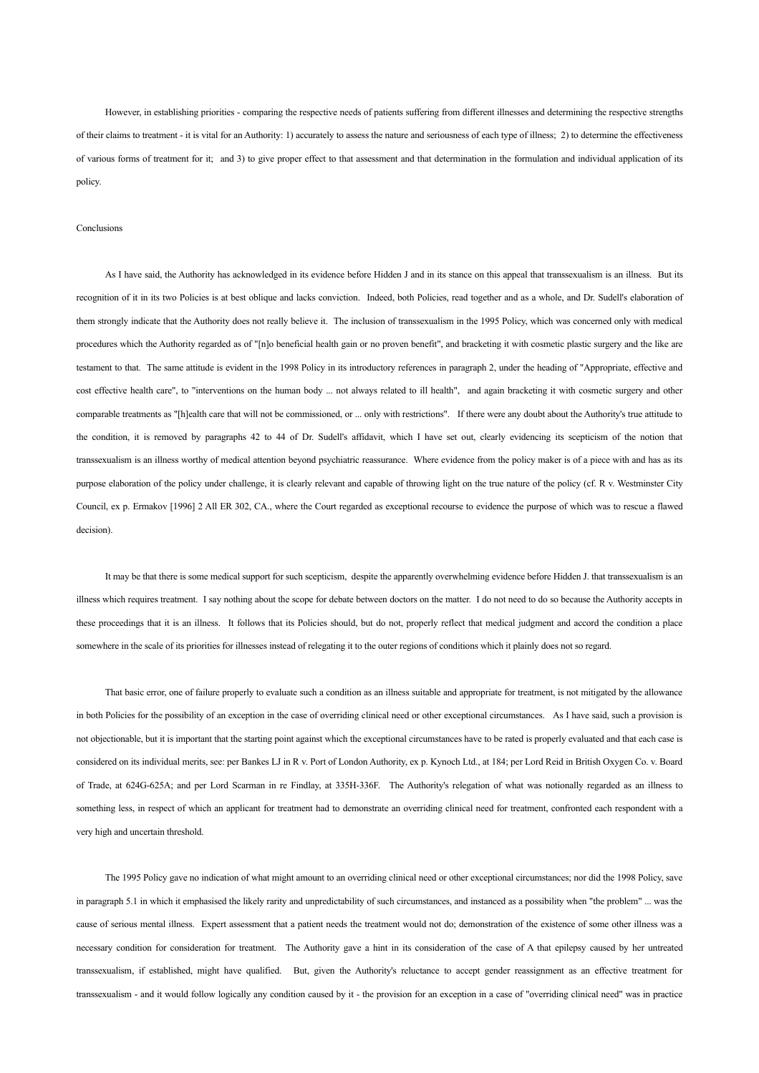However, in establishing priorities - comparing the respective needs of patients suffering from different illnesses and determining the respective strengths of their claims to treatment - it is vital for an Authority: 1) accurately to assess the nature and seriousness of each type of illness; 2) to determine the effectiveness of various forms of treatment for it; and 3) to give proper effect to that assessment and that determination in the formulation and individual application of its policy.

### Conclusions

As I have said, the Authority has acknowledged in its evidence before Hidden J and in its stance on this appeal that transsexualism is an illness. But its recognition of it in its two Policies is at best oblique and lacks conviction. Indeed, both Policies, read together and as a whole, and Dr. Sudell's elaboration of them strongly indicate that the Authority does not really believe it. The inclusion of transsexualism in the 1995 Policy, which was concerned only with medical procedures which the Authority regarded as of "[n]o beneficial health gain or no proven benefit", and bracketing it with cosmetic plastic surgery and the like are testament to that. The same attitude is evident in the 1998 Policy in its introductory references in paragraph 2, under the heading of "Appropriate, effective and cost effective health care", to "interventions on the human body ... not always related to ill health", and again bracketing it with cosmetic surgery and other comparable treatments as "[h]ealth care that will not be commissioned, or ... only with restrictions". If there were any doubt about the Authority's true attitude to the condition, it is removed by paragraphs 42 to 44 of Dr. Sudell's affidavit, which I have set out, clearly evidencing its scepticism of the notion that transsexualism is an illness worthy of medical attention beyond psychiatric reassurance. Where evidence from the policy maker is of a piece with and has as its purpose elaboration of the policy under challenge, it is clearly relevant and capable of throwing light on the true nature of the policy (cf. R v. Westminster City Council, ex p. Ermakov [1996] 2 All ER 302, CA., where the Court regarded as exceptional recourse to evidence the purpose of which was to rescue a flawed decision).

It may be that there is some medical support for such scepticism, despite the apparently overwhelming evidence before Hidden J. that transsexualism is an illness which requires treatment. I say nothing about the scope for debate between doctors on the matter. I do not need to do so because the Authority accepts in these proceedings that it is an illness. It follows that its Policies should, but do not, properly reflect that medical judgment and accord the condition a place somewhere in the scale of its priorities for illnesses instead of relegating it to the outer regions of conditions which it plainly does not so regard.

That basic error, one of failure properly to evaluate such a condition as an illness suitable and appropriate for treatment, is not mitigated by the allowance in both Policies for the possibility of an exception in the case of overriding clinical need or other exceptional circumstances. As I have said, such a provision is not objectionable, but it is important that the starting point against which the exceptional circumstances have to be rated is properly evaluated and that each case is considered on its individual merits, see: per Bankes LJ in R v. Port of London Authority, ex p. Kynoch Ltd., at 184; per Lord Reid in British Oxygen Co. v. Board of Trade, at 624G-625A; and per Lord Scarman in re Findlay, at 335H-336F. The Authority's relegation of what was notionally regarded as an illness to something less, in respect of which an applicant for treatment had to demonstrate an overriding clinical need for treatment, confronted each respondent with a very high and uncertain threshold.

The 1995 Policy gave no indication of what might amount to an overriding clinical need or other exceptional circumstances; nor did the 1998 Policy, save in paragraph 5.1 in which it emphasised the likely rarity and unpredictability of such circumstances, and instanced as a possibility when "the problem" ... was the cause of serious mental illness. Expert assessment that a patient needs the treatment would not do; demonstration of the existence of some other illness was a necessary condition for consideration for treatment. The Authority gave a hint in its consideration of the case of A that epilepsy caused by her untreated transsexualism, if established, might have qualified. But, given the Authority's reluctance to accept gender reassignment as an effective treatment for transsexualism - and it would follow logically any condition caused by it - the provision for an exception in a case of "overriding clinical need" was in practice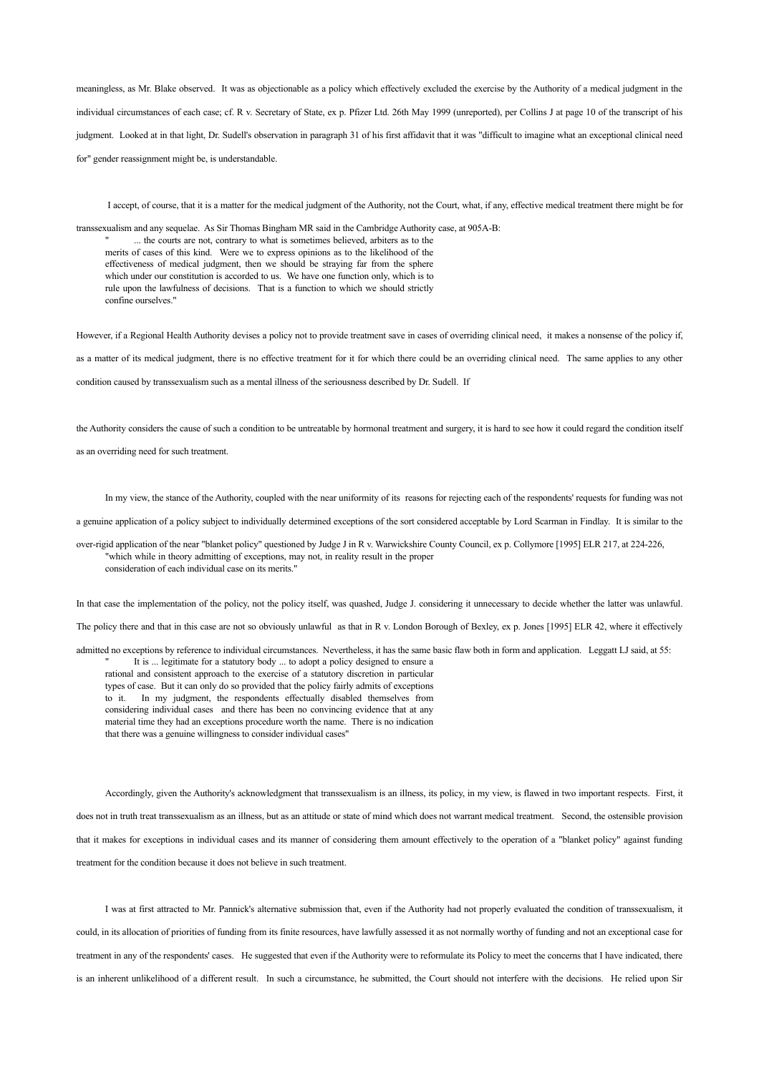meaningless, as Mr. Blake observed. It was as objectionable as a policy which effectively excluded the exercise by the Authority of a medical judgment in the individual circumstances of each case; cf. R v. Secretary of State, ex p. Pfizer Ltd. 26th May 1999 (unreported), per Collins J at page 10 of the transcript of his judgment. Looked at in that light, Dr. Sudell's observation in paragraph 31 of his first affidavit that it was "difficult to imagine what an exceptional clinical need for" gender reassignment might be, is understandable.

I accept, of course, that it is a matter for the medical judgment of the Authority, not the Court, what, if any, effective medical treatment there might be for

transsexualism and any sequelae. As Sir Thomas Bingham MR said in the Cambridge Authority case, at 905A-B: ... the courts are not, contrary to what is sometimes believed, arbiters as to the merits of cases of this kind. Were we to express opinions as to the likelihood of the effectiveness of medical judgment, then we should be straying far from the sphere which under our constitution is accorded to us. We have one function only, which is to rule upon the lawfulness of decisions. That is a function to which we should strictly confine ourselves."

However, if a Regional Health Authority devises a policy not to provide treatment save in cases of overriding clinical need, it makes a nonsense of the policy if, as a matter of its medical judgment, there is no effective treatment for it for which there could be an overriding clinical need. The same applies to any other condition caused by transsexualism such as a mental illness of the seriousness described by Dr. Sudell. If

the Authority considers the cause of such a condition to be untreatable by hormonal treatment and surgery, it is hard to see how it could regard the condition itself as an overriding need for such treatment.

In my view, the stance of the Authority, coupled with the near uniformity of its reasons for rejecting each of the respondents' requests for funding was not

a genuine application of a policy subject to individually determined exceptions of the sort considered acceptable by Lord Scarman in Findlay. It is similar to the

over-rigid application of the near "blanket policy" questioned by Judge J in R v. Warwickshire County Council, ex p. Collymore [1995] ELR 217, at 224-226, "which while in theory admitting of exceptions, may not, in reality result in the proper consideration of each individual case on its merits."

In that case the implementation of the policy, not the policy itself, was quashed, Judge J. considering it unnecessary to decide whether the latter was unlawful.

The policy there and that in this case are not so obviously unlawful as that in R v. London Borough of Bexley, ex p. Jones [1995] ELR 42, where it effectively

admitted no exceptions by reference to individual circumstances. Nevertheless, it has the same basic flaw both in form and application. Leggatt LJ said, at 55: It is ... legitimate for a statutory body ... to adopt a policy designed to ensure a rational and consistent approach to the exercise of a statutory discretion in particular types of case. But it can only do so provided that the policy fairly admits of exceptions to it. In my judgment, the respondents effectually disabled themselves from considering individual cases and there has been no convincing evidence that at any material time they had an exceptions procedure worth the name. There is no indication that there was a genuine willingness to consider individual cases"

Accordingly, given the Authority's acknowledgment that transsexualism is an illness, its policy, in my view, is flawed in two important respects. First, it does not in truth treat transsexualism as an illness, but as an attitude or state of mind which does not warrant medical treatment. Second, the ostensible provision that it makes for exceptions in individual cases and its manner of considering them amount effectively to the operation of a "blanket policy" against funding treatment for the condition because it does not believe in such treatment.

I was at first attracted to Mr. Pannick's alternative submission that, even if the Authority had not properly evaluated the condition of transsexualism, it could, in its allocation of priorities of funding from its finite resources, have lawfully assessed it as not normally worthy of funding and not an exceptional case for treatment in any of the respondents' cases. He suggested that even if the Authority were to reformulate its Policy to meet the concerns that I have indicated, there is an inherent unlikelihood of a different result. In such a circumstance, he submitted, the Court should not interfere with the decisions. He relied upon Sir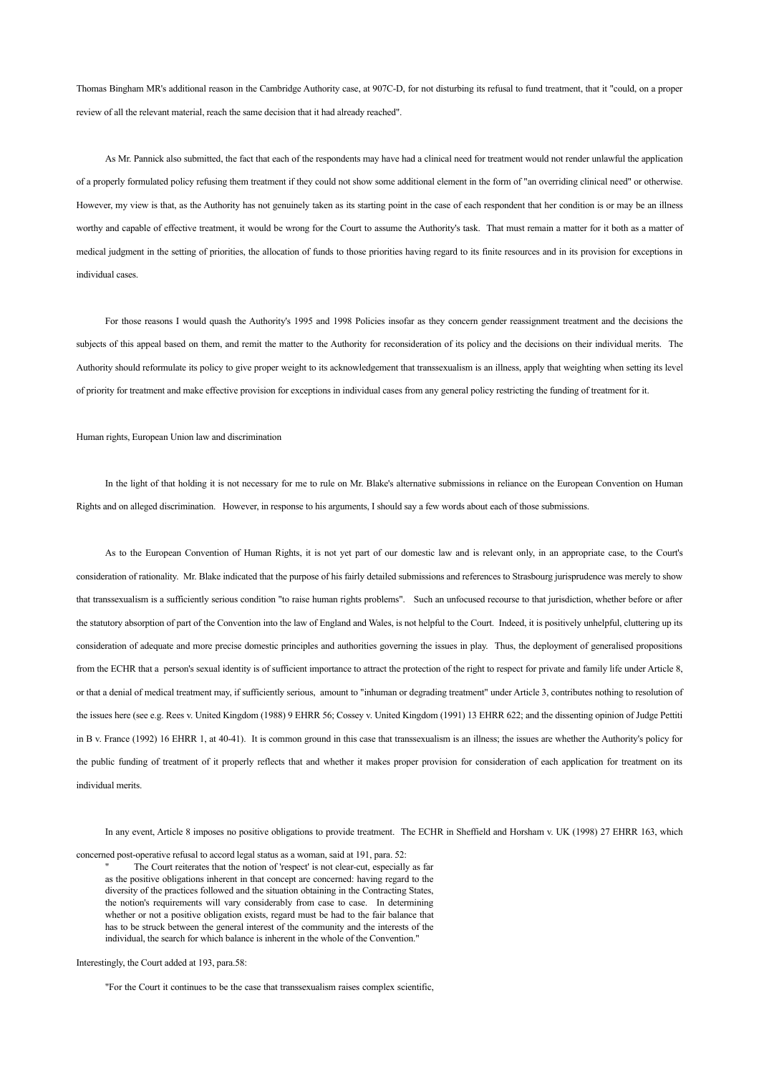Thomas Bingham MR's additional reason in the Cambridge Authority case, at 907C-D, for not disturbing its refusal to fund treatment, that it "could, on a proper review of all the relevant material, reach the same decision that it had already reached".

As Mr. Pannick also submitted, the fact that each of the respondents may have had a clinical need for treatment would not render unlawful the application of a properly formulated policy refusing them treatment if they could not show some additional element in the form of "an overriding clinical need" or otherwise. However, my view is that, as the Authority has not genuinely taken as its starting point in the case of each respondent that her condition is or may be an illness worthy and capable of effective treatment, it would be wrong for the Court to assume the Authority's task. That must remain a matter for it both as a matter of medical judgment in the setting of priorities, the allocation of funds to those priorities having regard to its finite resources and in its provision for exceptions in individual cases.

For those reasons I would quash the Authority's 1995 and 1998 Policies insofar as they concern gender reassignment treatment and the decisions the subjects of this appeal based on them, and remit the matter to the Authority for reconsideration of its policy and the decisions on their individual merits. The Authority should reformulate its policy to give proper weight to its acknowledgement that transsexualism is an illness, apply that weighting when setting its level of priority for treatment and make effective provision for exceptions in individual cases from any general policy restricting the funding of treatment for it.

Human rights, European Union law and discrimination

In the light of that holding it is not necessary for me to rule on Mr. Blake's alternative submissions in reliance on the European Convention on Human Rights and on alleged discrimination. However, in response to his arguments, I should say a few words about each of those submissions.

As to the European Convention of Human Rights, it is not yet part of our domestic law and is relevant only, in an appropriate case, to the Court's consideration of rationality. Mr. Blake indicated that the purpose of his fairly detailed submissions and references to Strasbourg jurisprudence was merely to show that transsexualism is a sufficiently serious condition "to raise human rights problems". Such an unfocused recourse to that jurisdiction, whether before or after the statutory absorption of part of the Convention into the law of England and Wales, is not helpful to the Court. Indeed, it is positively unhelpful, cluttering up its consideration of adequate and more precise domestic principles and authorities governing the issues in play. Thus, the deployment of generalised propositions from the ECHR that a person's sexual identity is of sufficient importance to attract the protection of the right to respect for private and family life under Article 8, or that a denial of medical treatment may, if sufficiently serious, amount to "inhuman or degrading treatment" under Article 3, contributes nothing to resolution of the issues here (see e.g. Rees v. United Kingdom (1988) 9 EHRR 56; Cossey v. United Kingdom (1991) 13 EHRR 622; and the dissenting opinion of Judge Pettiti in B v. France (1992) 16 EHRR 1, at 40-41). It is common ground in this case that transsexualism is an illness; the issues are whether the Authority's policy for the public funding of treatment of it properly reflects that and whether it makes proper provision for consideration of each application for treatment on its individual merits.

In any event, Article 8 imposes no positive obligations to provide treatment. The ECHR in Sheffield and Horsham v. UK (1998) 27 EHRR 163, which

concerned post-operative refusal to accord legal status as a woman, said at 191, para. 52:

The Court reiterates that the notion of 'respect' is not clear-cut, especially as far as the positive obligations inherent in that concept are concerned: having regard to the diversity of the practices followed and the situation obtaining in the Contracting States, the notion's requirements will vary considerably from case to case. In determining whether or not a positive obligation exists, regard must be had to the fair balance that has to be struck between the general interest of the community and the interests of the individual, the search for which balance is inherent in the whole of the Convention."

Interestingly, the Court added at 193, para.58:

"For the Court it continues to be the case that transsexualism raises complex scientific,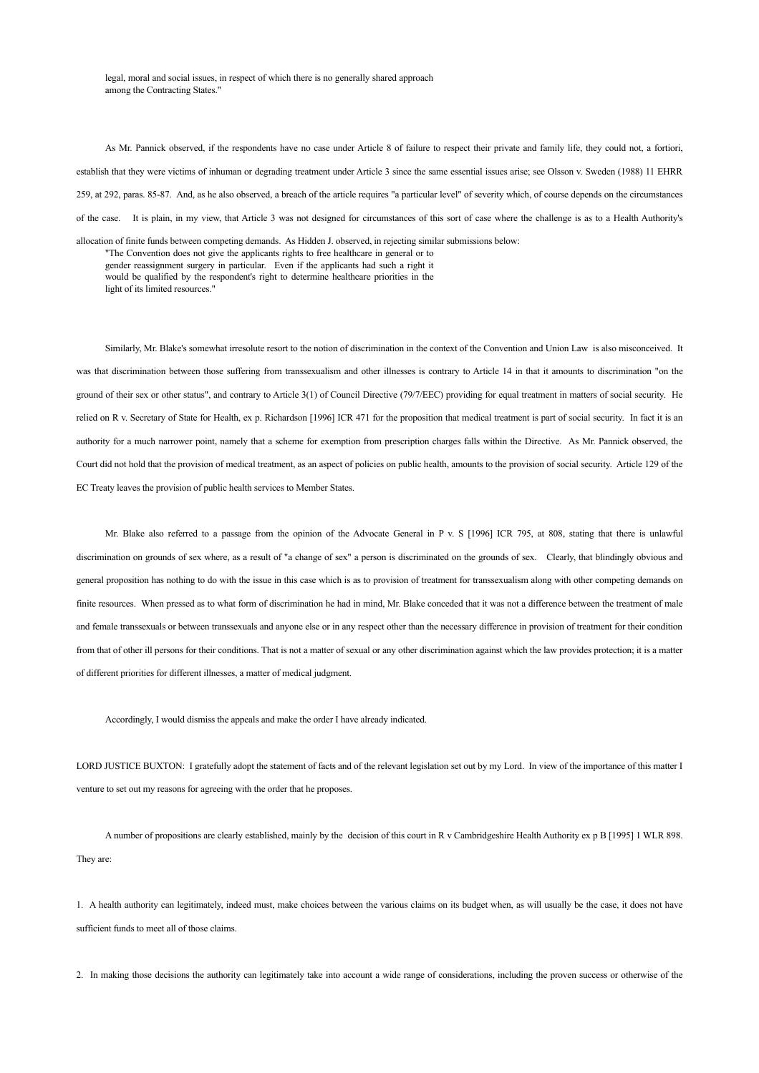legal, moral and social issues, in respect of which there is no generally shared approach among the Contracting States."

As Mr. Pannick observed, if the respondents have no case under Article 8 of failure to respect their private and family life, they could not, a fortiori, establish that they were victims of inhuman or degrading treatment under Article 3 since the same essential issues arise; see Olsson v. Sweden (1988) 11 EHRR 259, at 292, paras. 85-87. And, as he also observed, a breach of the article requires "a particular level" of severity which, of course depends on the circumstances of the case. It is plain, in my view, that Article 3 was not designed for circumstances of this sort of case where the challenge is as to a Health Authority's

allocation of finite funds between competing demands. As Hidden J. observed, in rejecting similar submissions below: "The Convention does not give the applicants rights to free healthcare in general or to gender reassignment surgery in particular. Even if the applicants had such a right it would be qualified by the respondent's right to determine healthcare priorities in the light of its limited resources."

Similarly, Mr. Blake's somewhat irresolute resort to the notion of discrimination in the context of the Convention and Union Law is also misconceived. It was that discrimination between those suffering from transsexualism and other illnesses is contrary to Article 14 in that it amounts to discrimination "on the ground of their sex or other status", and contrary to Article 3(1) of Council Directive (79/7/EEC) providing for equal treatment in matters of social security. He relied on R v. Secretary of State for Health, ex p. Richardson [1996] ICR 471 for the proposition that medical treatment is part of social security. In fact it is an authority for a much narrower point, namely that a scheme for exemption from prescription charges falls within the Directive. As Mr. Pannick observed, the Court did not hold that the provision of medical treatment, as an aspect of policies on public health, amounts to the provision of social security. Article 129 of the EC Treaty leaves the provision of public health services to Member States.

Mr. Blake also referred to a passage from the opinion of the Advocate General in P v. S [1996] ICR 795, at 808, stating that there is unlawful discrimination on grounds of sex where, as a result of "a change of sex" a person is discriminated on the grounds of sex. Clearly, that blindingly obvious and general proposition has nothing to do with the issue in this case which is as to provision of treatment for transsexualism along with other competing demands on finite resources. When pressed as to what form of discrimination he had in mind, Mr. Blake conceded that it was not a difference between the treatment of male and female transsexuals or between transsexuals and anyone else or in any respect other than the necessary difference in provision of treatment for their condition from that of other ill persons for their conditions. That is not a matter of sexual or any other discrimination against which the law provides protection; it is a matter of different priorities for different illnesses, a matter of medical judgment.

Accordingly, I would dismiss the appeals and make the order I have already indicated.

LORD JUSTICE BUXTON: I gratefully adopt the statement of facts and of the relevant legislation set out by my Lord. In view of the importance of this matter I venture to set out my reasons for agreeing with the order that he proposes.

A number of propositions are clearly established, mainly by the decision of this court in R v Cambridgeshire Health Authority ex p B [1995] 1 WLR 898. They are:

1. A health authority can legitimately, indeed must, make choices between the various claims on its budget when, as will usually be the case, it does not have sufficient funds to meet all of those claims.

2. In making those decisions the authority can legitimately take into account a wide range of considerations, including the proven success or otherwise of the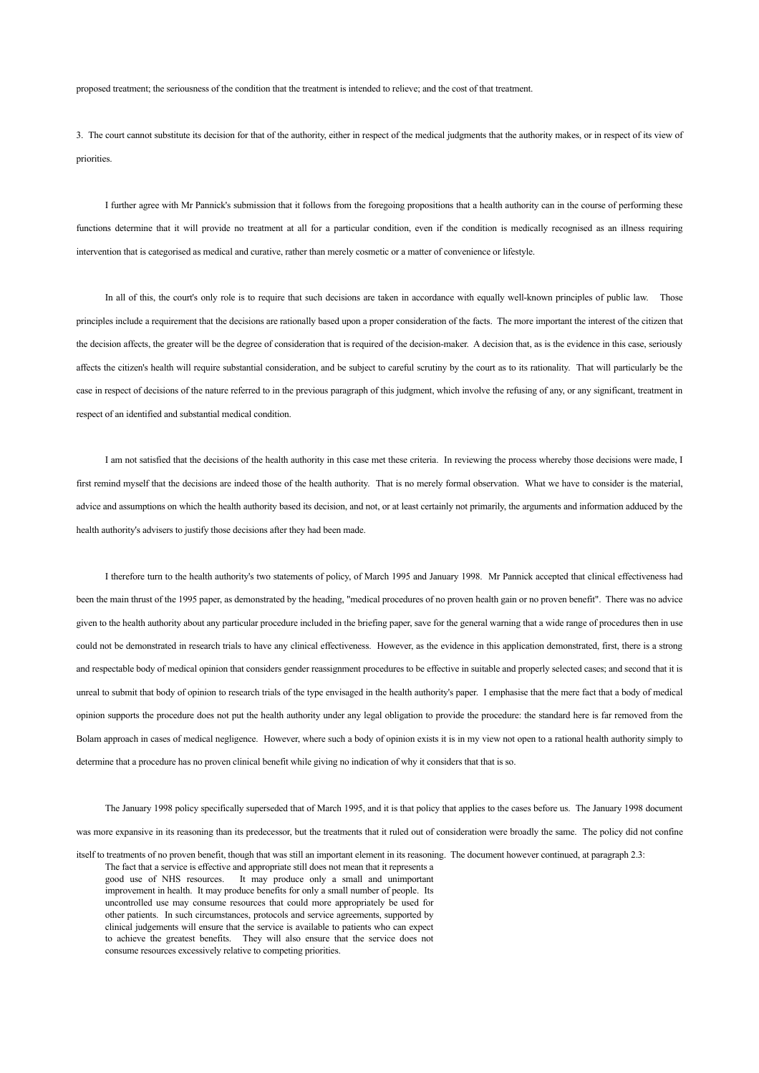proposed treatment; the seriousness of the condition that the treatment is intended to relieve; and the cost of that treatment.

3. The court cannot substitute its decision for that of the authority, either in respect of the medical judgments that the authority makes, or in respect of its view of priorities.

I further agree with Mr Pannick's submission that it follows from the foregoing propositions that a health authority can in the course of performing these functions determine that it will provide no treatment at all for a particular condition, even if the condition is medically recognised as an illness requiring intervention that is categorised as medical and curative, rather than merely cosmetic or a matter of convenience or lifestyle.

In all of this, the court's only role is to require that such decisions are taken in accordance with equally well-known principles of public law. Those principles include a requirement that the decisions are rationally based upon a proper consideration of the facts. The more important the interest of the citizen that the decision affects, the greater will be the degree of consideration that is required of the decision-maker. A decision that, as is the evidence in this case, seriously affects the citizen's health will require substantial consideration, and be subject to careful scrutiny by the court as to its rationality. That will particularly be the case in respect of decisions of the nature referred to in the previous paragraph of this judgment, which involve the refusing of any, or any significant, treatment in respect of an identified and substantial medical condition.

I am not satisfied that the decisions of the health authority in this case met these criteria. In reviewing the process whereby those decisions were made, I first remind myself that the decisions are indeed those of the health authority. That is no merely formal observation. What we have to consider is the material, advice and assumptions on which the health authority based its decision, and not, or at least certainly not primarily, the arguments and information adduced by the health authority's advisers to justify those decisions after they had been made.

I therefore turn to the health authority's two statements of policy, of March 1995 and January 1998. Mr Pannick accepted that clinical effectiveness had been the main thrust of the 1995 paper, as demonstrated by the heading, "medical procedures of no proven health gain or no proven benefit". There was no advice given to the health authority about any particular procedure included in the briefing paper, save for the general warning that a wide range of procedures then in use could not be demonstrated in research trials to have any clinical effectiveness. However, as the evidence in this application demonstrated, first, there is a strong and respectable body of medical opinion that considers gender reassignment procedures to be effective in suitable and properly selected cases; and second that it is unreal to submit that body of opinion to research trials of the type envisaged in the health authority's paper. I emphasise that the mere fact that a body of medical opinion supports the procedure does not put the health authority under any legal obligation to provide the procedure: the standard here is far removed from the Bolam approach in cases of medical negligence. However, where such a body of opinion exists it is in my view not open to a rational health authority simply to determine that a procedure has no proven clinical benefit while giving no indication of why it considers that that is so.

The January 1998 policy specifically superseded that of March 1995, and it is that policy that applies to the cases before us. The January 1998 document was more expansive in its reasoning than its predecessor, but the treatments that it ruled out of consideration were broadly the same. The policy did not confine

itself to treatments of no proven benefit, though that was still an important element in its reasoning. The document however continued, at paragraph 2.3:

The fact that a service is effective and appropriate still does not mean that it represents a good use of NHS resources. It may produce only a small and unimportant improvement in health. It may produce benefits for only a small number of people. Its uncontrolled use may consume resources that could more appropriately be used for other patients. In such circumstances, protocols and service agreements, supported by clinical judgements will ensure that the service is available to patients who can expect to achieve the greatest benefits. They will also ensure that the service does not consume resources excessively relative to competing priorities.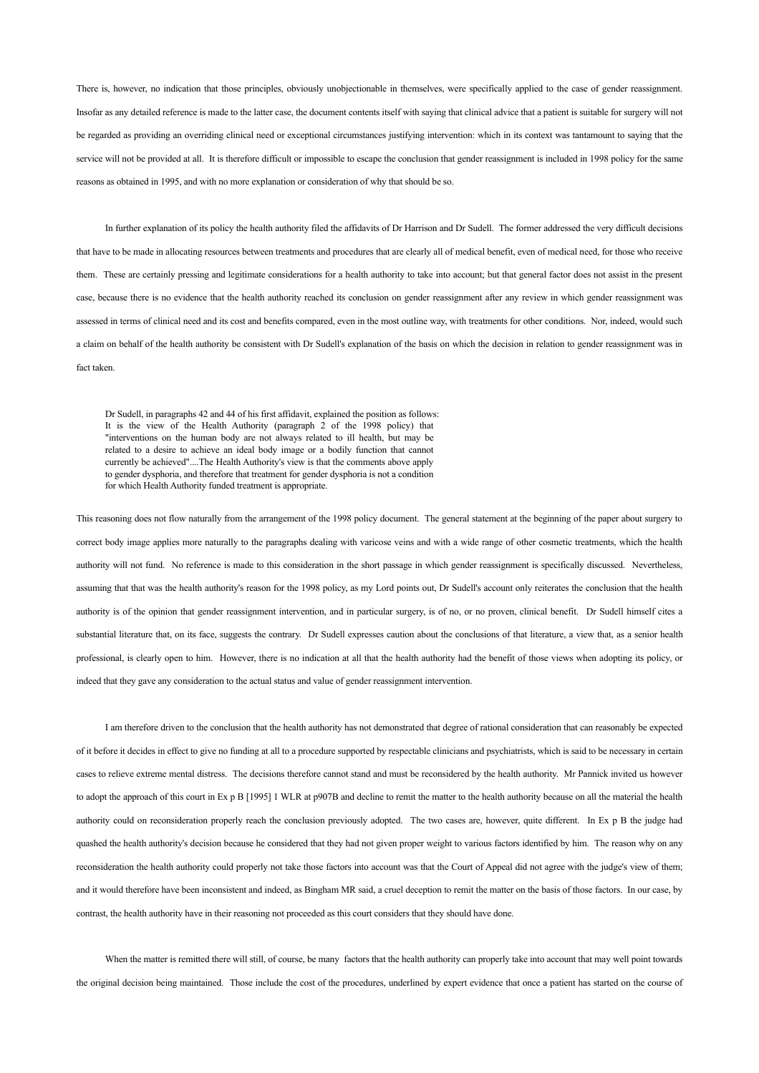There is, however, no indication that those principles, obviously unobjectionable in themselves, were specifically applied to the case of gender reassignment. Insofar as any detailed reference is made to the latter case, the document contents itself with saying that clinical advice that a patient is suitable for surgery will not be regarded as providing an overriding clinical need or exceptional circumstances justifying intervention: which in its context was tantamount to saying that the service will not be provided at all. It is therefore difficult or impossible to escape the conclusion that gender reassignment is included in 1998 policy for the same reasons as obtained in 1995, and with no more explanation or consideration of why that should be so.

In further explanation of its policy the health authority filed the affidavits of Dr Harrison and Dr Sudell. The former addressed the very difficult decisions that have to be made in allocating resources between treatments and procedures that are clearly all of medical benefit, even of medical need, for those who receive them. These are certainly pressing and legitimate considerations for a health authority to take into account; but that general factor does not assist in the present case, because there is no evidence that the health authority reached its conclusion on gender reassignment after any review in which gender reassignment was assessed in terms of clinical need and its cost and benefits compared, even in the most outline way, with treatments for other conditions. Nor, indeed, would such a claim on behalf of the health authority be consistent with Dr Sudell's explanation of the basis on which the decision in relation to gender reassignment was in fact taken.

Dr Sudell, in paragraphs 42 and 44 of his first affidavit, explained the position as follows: It is the view of the Health Authority (paragraph 2 of the 1998 policy) that "interventions on the human body are not always related to ill health, but may be related to a desire to achieve an ideal body image or a bodily function that cannot currently be achieved"....The Health Authority's view is that the comments above apply to gender dysphoria, and therefore that treatment for gender dysphoria is not a condition for which Health Authority funded treatment is appropriate.

This reasoning does not flow naturally from the arrangement of the 1998 policy document. The general statement at the beginning of the paper about surgery to correct body image applies more naturally to the paragraphs dealing with varicose veins and with a wide range of other cosmetic treatments, which the health authority will not fund. No reference is made to this consideration in the short passage in which gender reassignment is specifically discussed. Nevertheless, assuming that that was the health authority's reason for the 1998 policy, as my Lord points out, Dr Sudell's account only reiterates the conclusion that the health authority is of the opinion that gender reassignment intervention, and in particular surgery, is of no, or no proven, clinical benefit. Dr Sudell himself cites a substantial literature that, on its face, suggests the contrary. Dr Sudell expresses caution about the conclusions of that literature, a view that, as a senior health professional, is clearly open to him. However, there is no indication at all that the health authority had the benefit of those views when adopting its policy, or indeed that they gave any consideration to the actual status and value of gender reassignment intervention.

I am therefore driven to the conclusion that the health authority has not demonstrated that degree of rational consideration that can reasonably be expected of it before it decides in effect to give no funding at all to a procedure supported by respectable clinicians and psychiatrists, which is said to be necessary in certain cases to relieve extreme mental distress. The decisions therefore cannot stand and must be reconsidered by the health authority. Mr Pannick invited us however to adopt the approach of this court in Ex p B [1995] 1 WLR at p907B and decline to remit the matter to the health authority because on all the material the health authority could on reconsideration properly reach the conclusion previously adopted. The two cases are, however, quite different. In Ex p B the judge had quashed the health authority's decision because he considered that they had not given proper weight to various factors identified by him. The reason why on any reconsideration the health authority could properly not take those factors into account was that the Court of Appeal did not agree with the judge's view of them; and it would therefore have been inconsistent and indeed, as Bingham MR said, a cruel deception to remit the matter on the basis of those factors. In our case, by contrast, the health authority have in their reasoning not proceeded as this court considers that they should have done.

When the matter is remitted there will still, of course, be many factors that the health authority can properly take into account that may well point towards the original decision being maintained. Those include the cost of the procedures, underlined by expert evidence that once a patient has started on the course of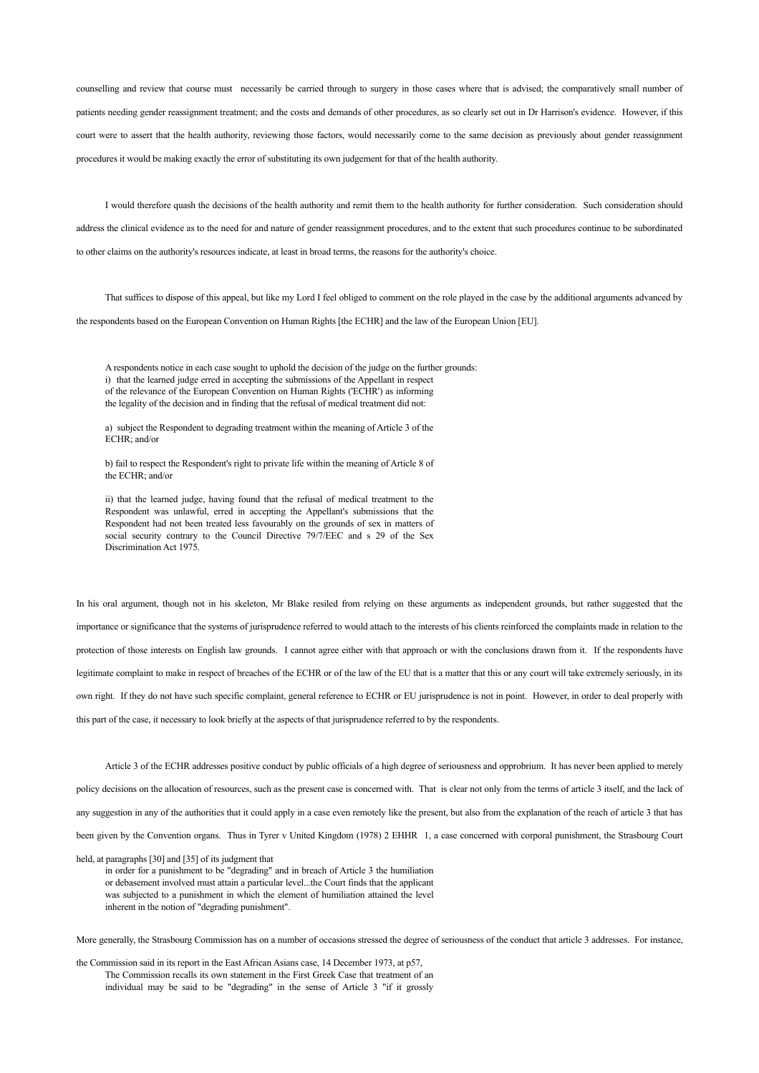counselling and review that course must necessarily be carried through to surgery in those cases where that is advised; the comparatively small number of patients needing gender reassignment treatment; and the costs and demands of other procedures, as so clearly set out in Dr Harrison's evidence. However, if this court were to assert that the health authority, reviewing those factors, would necessarily come to the same decision as previously about gender reassignment procedures it would be making exactly the error of substituting its own judgement for that of the health authority.

I would therefore quash the decisions of the health authority and remit them to the health authority for further consideration. Such consideration should address the clinical evidence as to the need for and nature of gender reassignment procedures, and to the extent that such procedures continue to be subordinated to other claims on the authority's resources indicate, at least in broad terms, the reasons for the authority's choice.

That suffices to dispose of this appeal, but like my Lord I feel obliged to comment on the role played in the case by the additional arguments advanced by the respondents based on the European Convention on Human Rights [the ECHR] and the law of the European Union [EU].

A respondents notice in each case sought to uphold the decision of the judge on the further grounds: i) that the learned judge erred in accepting the submissions of the Appellant in respect of the relevance of the European Convention on Human Rights ('ECHR') as informing the legality of the decision and in finding that the refusal of medical treatment did not:

a) subject the Respondent to degrading treatment within the meaning of Article 3 of the ECHR; and/or

b) fail to respect the Respondent's right to private life within the meaning of Article 8 of the ECHR; and/or

ii) that the learned judge, having found that the refusal of medical treatment to the Respondent was unlawful, erred in accepting the Appellant's submissions that the Respondent had not been treated less favourably on the grounds of sex in matters of social security contrary to the Council Directive 79/7/EEC and s 29 of the Sex Discrimination Act 1975.

In his oral argument, though not in his skeleton, Mr Blake resiled from relying on these arguments as independent grounds, but rather suggested that the importance or significance that the systems of jurisprudence referred to would attach to the interests of his clients reinforced the complaints made in relation to the protection of those interests on English law grounds. I cannot agree either with that approach or with the conclusions drawn from it. If the respondents have legitimate complaint to make in respect of breaches of the ECHR or of the law of the EU that is a matter that this or any court will take extremely seriously, in its own right. If they do not have such specific complaint, general reference to ECHR or EU jurisprudence is not in point. However, in order to deal properly with this part of the case, it necessary to look briefly at the aspects of that jurisprudence referred to by the respondents.

Article 3 of the ECHR addresses positive conduct by public officials of a high degree of seriousness and opprobrium. It has never been applied to merely policy decisions on the allocation of resources, such as the present case is concerned with. That is clear not only from the terms of article 3 itself, and the lack of any suggestion in any of the authorities that it could apply in a case even remotely like the present, but also from the explanation of the reach of article 3 that has been given by the Convention organs. Thus in Tyrer v United Kingdom (1978) 2 EHHR 1, a case concerned with corporal punishment, the Strasbourg Court

held, at paragraphs [30] and [35] of its judgment that

in order for a punishment to be "degrading" and in breach of Article 3 the humiliation or debasement involved must attain a particular level...the Court finds that the applicant was subjected to a punishment in which the element of humiliation attained the level inherent in the notion of "degrading punishment".

More generally, the Strasbourg Commission has on a number of occasions stressed the degree of seriousness of the conduct that article 3 addresses. For instance,

the Commission said in its report in the East African Asians case, 14 December 1973, at p57, The Commission recalls its own statement in the First Greek Case that treatment of an individual may be said to be "degrading" in the sense of Article 3 "if it grossly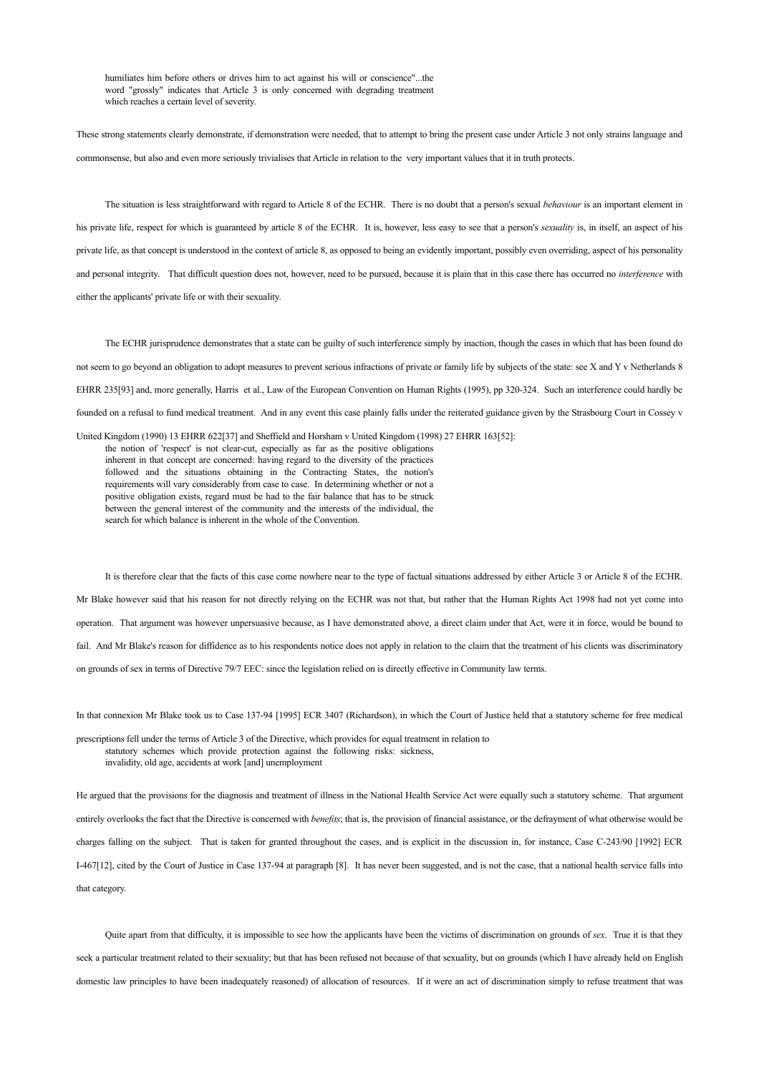humiliates him before others or drives him to act against his will or conscience"...the word "grossly" indicates that Article 3 is only concerned with degrading treatment which reaches a certain level of severity.

These strong statements clearly demonstrate, if demonstration were needed, that to attempt to bring the present case under Article 3 not only strains language and commonsense, but also and even more seriously trivialises that Article in relation to the very important values that it in truth protects.

The situation is less straightforward with regard to Article 8 of the ECHR. There is no doubt that a person's sexual *behaviour* is an important element in his private life, respect for which is guaranteed by article 8 of the ECHR. It is, however, less easy to see that a person's *sexuality* is, in itself, an aspect of his private life, as that concept is understood in the context of article 8, as opposed to being an evidently important, possibly even overriding, aspect of his personality and personal integrity. That difficult question does not, however, need to be pursued, because it is plain that in this case there has occurred no *interference* with either the applicants' private life or with their sexuality.

The ECHR jurisprudence demonstrates that a state can be guilty of such interference simply by inaction, though the cases in which that has been found do not seem to go beyond an obligation to adopt measures to prevent serious infractions of private or family life by subjects of the state: see X and Y v Netherlands 8 EHRR 235[93] and, more generally, Harris et al., Law of the European Convention on Human Rights (1995), pp 320-324. Such an interference could hardly be founded on a refusal to fund medical treatment. And in any event this case plainly falls under the reiterated guidance given by the Strasbourg Court in Cossey v

United Kingdom (1990) 13 EHRR 622[37] and Sheffield and Horsham v United Kingdom (1998) 27 EHRR 163[52]: the notion of 'respect' is not clear-cut, especially as far as the positive obligations inherent in that concept are concerned: having regard to the diversity of the practices followed and the situations obtaining in the Contracting States, the notion's requirements will vary considerably from case to case. In determining whether or not a positive obligation exists, regard must be had to the fair balance that has to be struck between the general interest of the community and the interests of the individual, the search for which balance is inherent in the whole of the Convention.

It is therefore clear that the facts of this case come nowhere near to the type of factual situations addressed by either Article 3 or Article 8 of the ECHR. Mr Blake however said that his reason for not directly relying on the ECHR was not that, but rather that the Human Rights Act 1998 had not yet come into operation. That argument was however unpersuasive because, as I have demonstrated above, a direct claim under that Act, were it in force, would be bound to fail. And Mr Blake's reason for diffidence as to his respondents notice does not apply in relation to the claim that the treatment of his clients was discriminatory on grounds of sex in terms of Directive 79/7 EEC: since the legislation relied on is directly effective in Community law terms.

In that connexion Mr Blake took us to Case 137-94 [1995] ECR 3407 (Richardson), in which the Court of Justice held that a statutory scheme for free medical prescriptions fell under the terms of Article 3 of the Directive, which provides for equal treatment in relation to statutory schemes which provide protection against the following risks: sickness, invalidity, old age, accidents at work [and] unemployment

He argued that the provisions for the diagnosis and treatment of illness in the National Health Service Act were equally such a statutory scheme. That argument entirely overlooks the fact that the Directive is concerned with *benefits*; that is, the provision of financial assistance, or the defrayment of what otherwise would be charges falling on the subject. That is taken for granted throughout the cases, and is explicit in the discussion in, for instance, Case C-243/90 [1992] ECR I-467[12], cited by the Court of Justice in Case 137-94 at paragraph [8]. It has never been suggested, and is not the case, that a national health service falls into that category.

Quite apart from that difficulty, it is impossible to see how the applicants have been the victims of discrimination on grounds of *sex*. True it is that they seek a particular treatment related to their sexuality; but that has been refused not because of that sexuality, but on grounds (which I have already held on English domestic law principles to have been inadequately reasoned) of allocation of resources. If it were an act of discrimination simply to refuse treatment that was